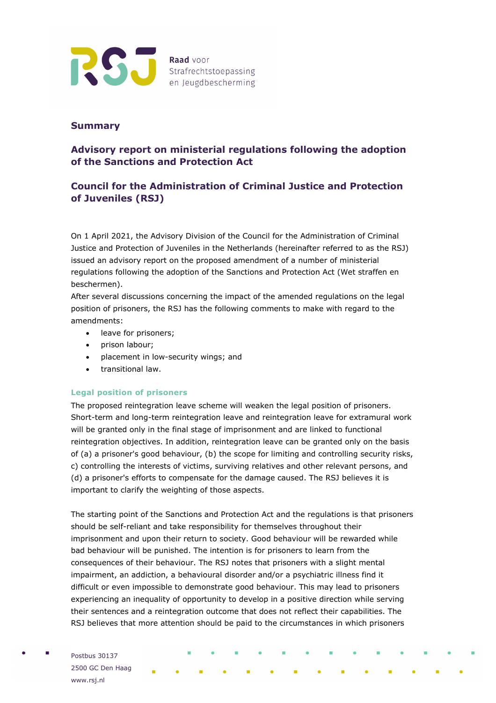

## **Summary**

# **Advisory report on ministerial regulations following the adoption of the Sanctions and Protection Act**

# **Council for the Administration of Criminal Justice and Protection of Juveniles (RSJ)**

On 1 April 2021, the Advisory Division of the Council for the Administration of Criminal Justice and Protection of Juveniles in the Netherlands (hereinafter referred to as the RSJ) issued an advisory report on the proposed amendment of a number of ministerial regulations following the adoption of the Sanctions and Protection Act (Wet straffen en beschermen).

After several discussions concerning the impact of the amended regulations on the legal position of prisoners, the RSJ has the following comments to make with regard to the amendments:

- leave for prisoners;
- prison labour;
- placement in low-security wings; and
- transitional law.

## **Legal position of prisoners**

The proposed reintegration leave scheme will weaken the legal position of prisoners. Short-term and long-term reintegration leave and reintegration leave for extramural work will be granted only in the final stage of imprisonment and are linked to functional reintegration objectives. In addition, reintegration leave can be granted only on the basis of (a) a prisoner's good behaviour, (b) the scope for limiting and controlling security risks, c) controlling the interests of victims, surviving relatives and other relevant persons, and (d) a prisoner's efforts to compensate for the damage caused. The RSJ believes it is important to clarify the weighting of those aspects.

The starting point of the Sanctions and Protection Act and the regulations is that prisoners should be self-reliant and take responsibility for themselves throughout their imprisonment and upon their return to society. Good behaviour will be rewarded while bad behaviour will be punished. The intention is for prisoners to learn from the consequences of their behaviour. The RSJ notes that prisoners with a slight mental impairment, an addiction, a behavioural disorder and/or a psychiatric illness find it difficult or even impossible to demonstrate good behaviour. This may lead to prisoners experiencing an inequality of opportunity to develop in a positive direction while serving their sentences and a reintegration outcome that does not reflect their capabilities. The RSJ believes that more attention should be paid to the circumstances in which prisoners

Postbus 30137 2500 GC Den Haag www.rsj.nl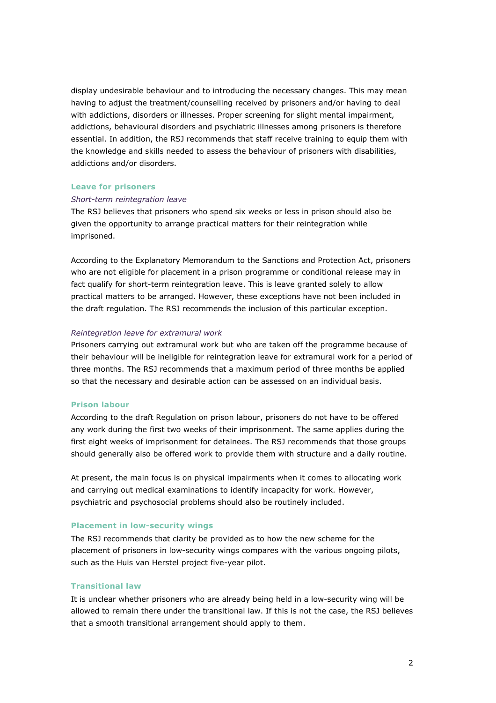display undesirable behaviour and to introducing the necessary changes. This may mean having to adjust the treatment/counselling received by prisoners and/or having to deal with addictions, disorders or illnesses. Proper screening for slight mental impairment, addictions, behavioural disorders and psychiatric illnesses among prisoners is therefore essential. In addition, the RSJ recommends that staff receive training to equip them with the knowledge and skills needed to assess the behaviour of prisoners with disabilities, addictions and/or disorders.

## **Leave for prisoners**

#### *Short-term reintegration leave*

The RSJ believes that prisoners who spend six weeks or less in prison should also be given the opportunity to arrange practical matters for their reintegration while imprisoned.

According to the Explanatory Memorandum to the Sanctions and Protection Act, prisoners who are not eligible for placement in a prison programme or conditional release may in fact qualify for short-term reintegration leave. This is leave granted solely to allow practical matters to be arranged. However, these exceptions have not been included in the draft regulation. The RSJ recommends the inclusion of this particular exception.

## *Reintegration leave for extramural work*

Prisoners carrying out extramural work but who are taken off the programme because of their behaviour will be ineligible for reintegration leave for extramural work for a period of three months. The RSJ recommends that a maximum period of three months be applied so that the necessary and desirable action can be assessed on an individual basis.

#### **Prison labour**

According to the draft Regulation on prison labour, prisoners do not have to be offered any work during the first two weeks of their imprisonment. The same applies during the first eight weeks of imprisonment for detainees. The RSJ recommends that those groups should generally also be offered work to provide them with structure and a daily routine.

At present, the main focus is on physical impairments when it comes to allocating work and carrying out medical examinations to identify incapacity for work. However, psychiatric and psychosocial problems should also be routinely included.

## **Placement in low-security wings**

The RSJ recommends that clarity be provided as to how the new scheme for the placement of prisoners in low-security wings compares with the various ongoing pilots, such as the Huis van Herstel project five-year pilot.

## **Transitional law**

It is unclear whether prisoners who are already being held in a low-security wing will be allowed to remain there under the transitional law. If this is not the case, the RSJ believes that a smooth transitional arrangement should apply to them.